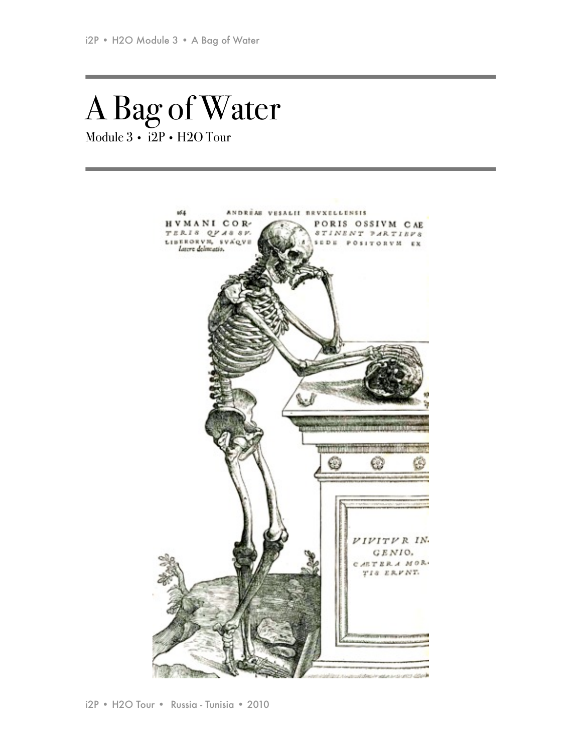# A Bag of Water Module 3 • i2P • H2O Tour

us a ANDRÉAS VESALII REVXELLENSIS HVMANI COR-PORIS OSSIVM CAE STINENT PARTIEFS TERIS OF ASSY. LIBERORVM, SVAQVE SEDE POSITORVM EX VIVITVR IN. GENIO, **AETERA MOR.** TIS ERVNT. states of the second control states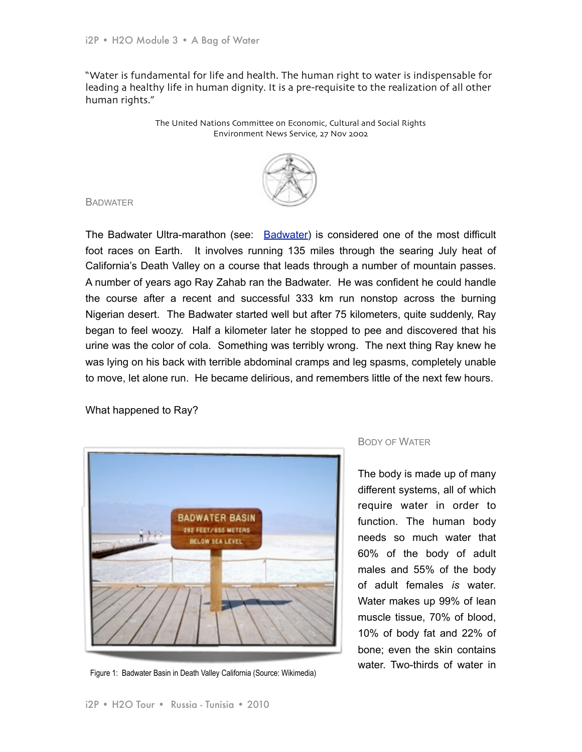"Water is fundamental for life and health. The human right to water is indispensable for leading a healthy life in human dignity. It is a pre-requisite to the realization of all other human rights."

> The United Nations Committee on Economic, Cultural and Social Rights Environment News Service, 27 Nov 2002



#### **BADWATER**

The Badwater Ultra-marathon (see: [Badwater\)](http://www.badwater.com/) is considered one of the most difficult foot races on Earth. It involves running 135 miles through the searing July heat of California's Death Valley on a course that leads through a number of mountain passes. A number of years ago Ray Zahab ran the Badwater. He was confident he could handle the course after a recent and successful 333 km run nonstop across the burning Nigerian desert. The Badwater started well but after 75 kilometers, quite suddenly, Ray began to feel woozy. Half a kilometer later he stopped to pee and discovered that his urine was the color of cola. Something was terribly wrong. The next thing Ray knew he was lying on his back with terrible abdominal cramps and leg spasms, completely unable to move, let alone run. He became delirious, and remembers little of the next few hours.

What happened to Ray?



Figure 1: Badwater Basin in Death Valley California (Source: Wikimedia)

# BODY OF WATER

The body is made up of many different systems, all of which require water in order to function. The human body needs so much water that 60% of the body of adult males and 55% of the body of adult females *is* water. Water makes up 99% of lean muscle tissue, 70% of blood, 10% of body fat and 22% of bone; even the skin contains water. Two-thirds of water in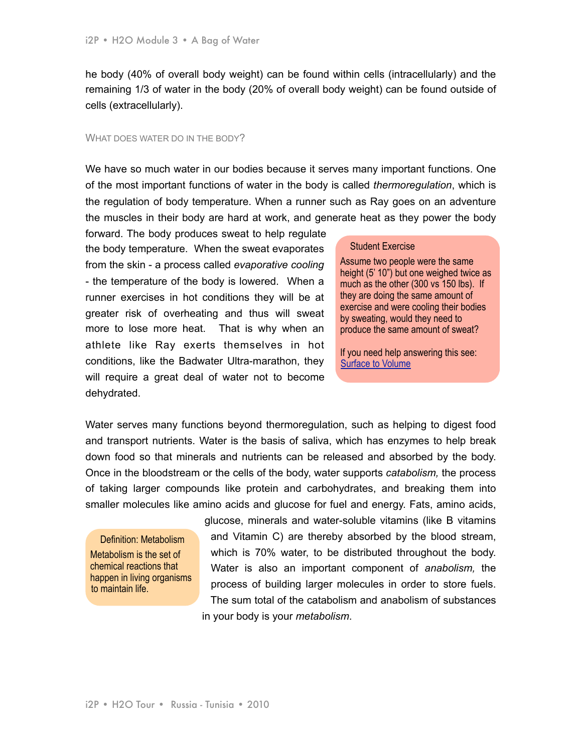he body (40% of overall body weight) can be found within cells (intracellularly) and the remaining 1/3 of water in the body (20% of overall body weight) can be found outside of cells (extracellularly).

#### WHAT DOES WATER DO IN THE BODY?

We have so much water in our bodies because it serves many important functions. One of the most important functions of water in the body is called *thermoregulation*, which is the regulation of body temperature. When a runner such as Ray goes on an adventure the muscles in their body are hard at work, and generate heat as they power the body

forward. The body produces sweat to help regulate the body temperature. When the sweat evaporates from the skin - a process called *evaporative cooling* - the temperature of the body is lowered. When a runner exercises in hot conditions they will be at greater risk of overheating and thus will sweat more to lose more heat. That is why when an athlete like Ray exerts themselves in hot conditions, like the Badwater Ultra-marathon, they will require a great deal of water not to become dehydrated.

#### Student Exercise

Assume two people were the same height (5' 10") but one weighed twice as much as the other (300 vs 150 lbs). If they are doing the same amount of exercise and were cooling their bodies by sweating, would they need to produce the same amount of sweat?

If you need help answering this see: [Surface to Volume](http://www.courseworkhelp.co.uk/GCSE/Science/16.htm)

Water serves many functions beyond thermoregulation, such as helping to digest food and transport nutrients. Water is the basis of saliva, which has enzymes to help break down food so that minerals and nutrients can be released and absorbed by the body. Once in the bloodstream or the cells of the body, water supports *catabolism,* the process of taking larger compounds like protein and carbohydrates, and breaking them into smaller molecules like amino acids and glucose for fuel and energy. Fats, amino acids,

Definition: Metabolism Metabolism is the set of chemical reactions that happen in living organisms to maintain life.

glucose, minerals and water-soluble vitamins (like B vitamins and Vitamin C) are thereby absorbed by the blood stream, which is 70% water, to be distributed throughout the body. Water is also an important component of *anabolism,* the process of building larger molecules in order to store fuels. The sum total of the catabolism and anabolism of substances in your body is your *metabolism*.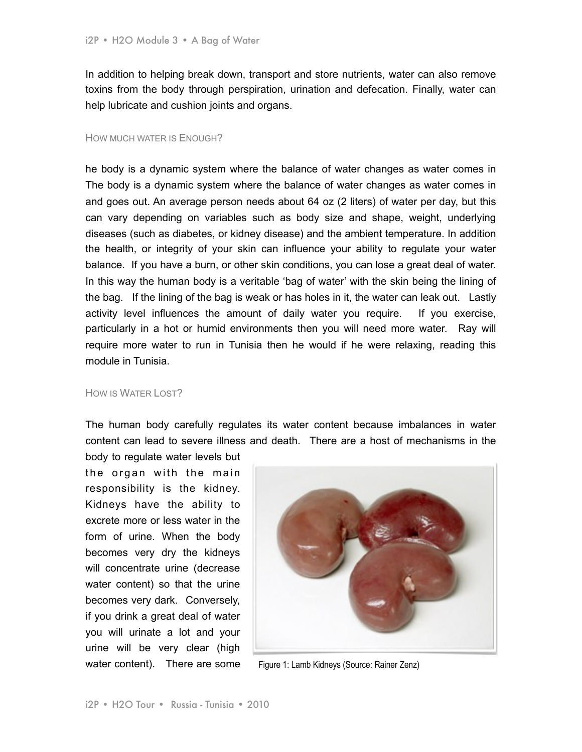In addition to helping break down, transport and store nutrients, water can also remove toxins from the body through perspiration, urination and defecation. Finally, water can help lubricate and cushion joints and organs.

#### HOW MUCH WATER IS ENOUGH?

he body is a dynamic system where the balance of water changes as water comes in The body is a dynamic system where the balance of water changes as water comes in and goes out. An average person needs about 64 oz (2 liters) of water per day, but this can vary depending on variables such as body size and shape, weight, underlying diseases (such as diabetes, or kidney disease) and the ambient temperature. In addition the health, or integrity of your skin can influence your ability to regulate your water balance. If you have a burn, or other skin conditions, you can lose a great deal of water. In this way the human body is a veritable 'bag of water' with the skin being the lining of the bag. If the lining of the bag is weak or has holes in it, the water can leak out. Lastly activity level influences the amount of daily water you require. If you exercise, particularly in a hot or humid environments then you will need more water. Ray will require more water to run in Tunisia then he would if he were relaxing, reading this module in Tunisia.

#### HOW IS WATER LOST?

The human body carefully regulates its water content because imbalances in water content can lead to severe illness and death. There are a host of mechanisms in the

body to regulate water levels but the organ with the main responsibility is the kidney. Kidneys have the ability to excrete more or less water in the form of urine. When the body becomes very dry the kidneys will concentrate urine (decrease water content) so that the urine becomes very dark. Conversely, if you drink a great deal of water you will urinate a lot and your urine will be very clear (high water content). There are some



Figure 1: Lamb Kidneys (Source: Rainer Zenz)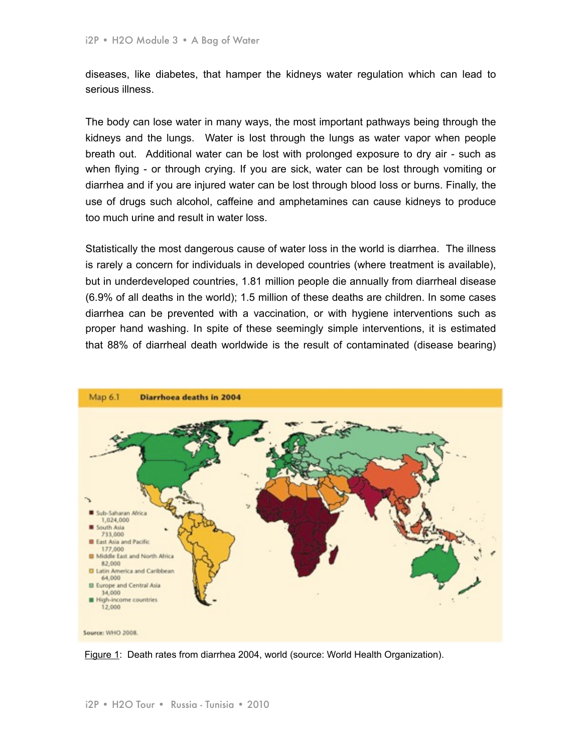diseases, like diabetes, that hamper the kidneys water regulation which can lead to serious illness.

The body can lose water in many ways, the most important pathways being through the kidneys and the lungs. Water is lost through the lungs as water vapor when people breath out. Additional water can be lost with prolonged exposure to dry air - such as when flying - or through crying. If you are sick, water can be lost through vomiting or diarrhea and if you are injured water can be lost through blood loss or burns. Finally, the use of drugs such alcohol, caffeine and amphetamines can cause kidneys to produce too much urine and result in water loss.

Statistically the most dangerous cause of water loss in the world is diarrhea. The illness is rarely a concern for individuals in developed countries (where treatment is available), but in underdeveloped countries, 1.81 million people die annually from diarrheal disease (6.9% of all deaths in the world); 1.5 million of these deaths are children. In some cases diarrhea can be prevented with a vaccination, or with hygiene interventions such as proper hand washing. In spite of these seemingly simple interventions, it is estimated that 88% of diarrheal death worldwide is the result of contaminated (disease bearing)

![](_page_4_Figure_4.jpeg)

Figure 1: Death rates from diarrhea 2004, world (source: World Health Organization).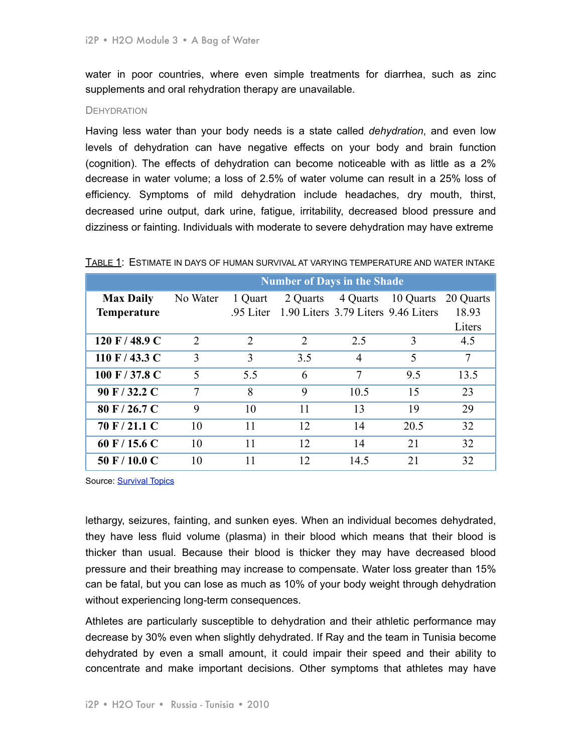water in poor countries, where even simple treatments for diarrhea, such as zinc supplements and oral rehydration therapy are unavailable.

## **DEHYDRATION**

Having less water than your body needs is a state called *dehydration*, and even low levels of dehydration can have negative effects on your body and brain function (cognition). The effects of dehydration can become noticeable with as little as a 2% decrease in water volume; a loss of 2.5% of water volume can result in a 25% loss of efficiency. Symptoms of mild dehydration include headaches, dry mouth, thirst, decreased urine output, dark urine, fatigue, irritability, decreased blood pressure and dizziness or fainting. Individuals with moderate to severe dehydration may have extreme

|                    | <b>Number of Days in the Shade</b> |                |          |                |                                     |           |
|--------------------|------------------------------------|----------------|----------|----------------|-------------------------------------|-----------|
| <b>Max Daily</b>   | No Water                           | 1 Quart        | 2 Quarts | 4 Quarts       | 10 Quarts                           | 20 Quarts |
| <b>Temperature</b> |                                    | 95 Liter       |          |                | 1.90 Liters 3.79 Liters 9.46 Liters | 18.93     |
|                    |                                    |                |          |                |                                     | Liters    |
| 120 F / 48.9 C     | $\overline{2}$                     | $\overline{2}$ | 2        | 2.5            | 3                                   | 4.5       |
| $110$ F $/$ 43.3 C | 3                                  | 3              | 3.5      | $\overline{4}$ | 5                                   | 7         |
| 100 F / 37.8 C     | 5                                  | 5.5            | 6        | 7              | 9.5                                 | 13.5      |
| 90 F / 32.2 C      | 7                                  | 8              | 9        | 10.5           | 15                                  | 23        |
| 80 F / 26.7 C      | 9                                  | 10             | 11       | 13             | 19                                  | 29        |
| 70 F / 21.1 C      | 10                                 | 11             | 12       | 14             | 20.5                                | 32        |
| 60 F / 15.6 C      | 10                                 | 11             | 12       | 14             | 21                                  | 32        |
| $50$ F / 10.0 C    | 10                                 | 11             | 12       | 14.5           | 21                                  | 32        |

TABLE 1: ESTIMATE IN DAYS OF HUMAN SURVIVAL AT VARYING TEMPERATURE AND WATER INTAKE

Source: **[Survival Topics](http://www.survivaltopics.com/survival/how-long-can-you-survive-without-water/)** 

lethargy, seizures, fainting, and sunken eyes. When an individual becomes dehydrated, they have less fluid volume (plasma) in their blood which means that their blood is thicker than usual. Because their blood is thicker they may have decreased blood pressure and their breathing may increase to compensate. Water loss greater than 15% can be fatal, but you can lose as much as 10% of your body weight through dehydration without experiencing long-term consequences.

Athletes are particularly susceptible to dehydration and their athletic performance may decrease by 30% even when slightly dehydrated. If Ray and the team in Tunisia become dehydrated by even a small amount, it could impair their speed and their ability to concentrate and make important decisions. Other symptoms that athletes may have